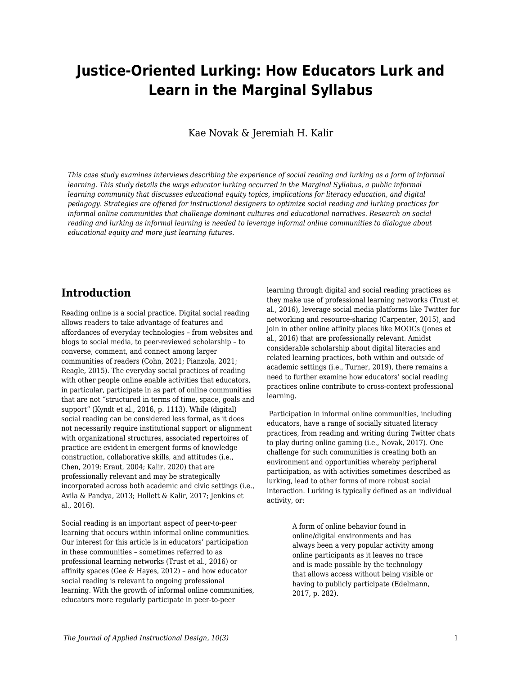# **Justice-Oriented Lurking: How Educators Lurk and Learn in the Marginal Syllabus**

Kae Novak & Jeremiah H. Kalir

*This case study examines interviews describing the experience of social reading and lurking as a form of informal learning. This study details the ways educator lurking occurred in the Marginal Syllabus, a public informal learning community that discusses educational equity topics, implications for literacy education, and digital pedagogy. Strategies are offered for instructional designers to optimize social reading and lurking practices for informal online communities that challenge dominant cultures and educational narratives. Research on social reading and lurking as informal learning is needed to leverage informal online communities to dialogue about educational equity and more just learning futures.*

### **Introduction**

Reading online is a social practice. Digital social reading allows readers to take advantage of features and affordances of everyday technologies – from websites and blogs to social media, to peer-reviewed scholarship – to converse, comment, and connect among larger communities of readers (Cohn, 2021; Pianzola, 2021; Reagle, 2015). The everyday social practices of reading with other people online enable activities that educators, in particular, participate in as part of online communities that are not "structured in terms of time, space, goals and support" (Kyndt et al., 2016, p. 1113). While (digital) social reading can be considered less formal, as it does not necessarily require institutional support or alignment with organizational structures, associated repertoires of practice are evident in emergent forms of knowledge construction, collaborative skills, and attitudes (i.e., Chen, 2019; Eraut, 2004; Kalir, 2020) that are professionally relevant and may be strategically incorporated across both academic and civic settings (i.e., Avila & Pandya, 2013; Hollett & Kalir, 2017; Jenkins et al., 2016).

Social reading is an important aspect of peer-to-peer learning that occurs within informal online communities. Our interest for this article is in educators' participation in these communities – sometimes referred to as professional learning networks (Trust et al., 2016) or affinity spaces (Gee & Hayes, 2012) – and how educator social reading is relevant to ongoing professional learning. With the growth of informal online communities, educators more regularly participate in peer-to-peer

learning through digital and social reading practices as they make use of professional learning networks (Trust et al., 2016), leverage social media platforms like Twitter for networking and resource-sharing (Carpenter, 2015), and join in other online affinity places like MOOCs (Jones et al., 2016) that are professionally relevant. Amidst considerable scholarship about digital literacies and related learning practices, both within and outside of academic settings (i.e., Turner, 2019), there remains a need to further examine how educators' social reading practices online contribute to cross-context professional learning.

 Participation in informal online communities, including educators, have a range of socially situated literacy practices, from reading and writing during Twitter chats to play during online gaming (i.e., Novak, 2017). One challenge for such communities is creating both an environment and opportunities whereby peripheral participation, as with activities sometimes described as lurking, lead to other forms of more robust social interaction. Lurking is typically defined as an individual activity, or:

> A form of online behavior found in online/digital environments and has always been a very popular activity among online participants as it leaves no trace and is made possible by the technology that allows access without being visible or having to publicly participate (Edelmann, 2017, p. 282).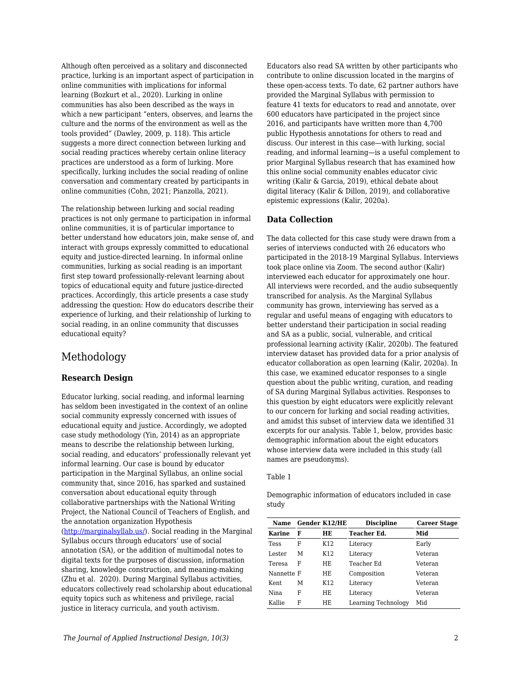Although often perceived as a solitary and disconnected practice, lurking is an important aspect of participation in online communities with implications for informal learning (Bozkurt et al., 2020). Lurking in online communities has also been described as the ways in which a new participant "enters, observes, and learns the culture and the norms of the environment as well as the tools provided" (Dawley, 2009, p. 118). This article suggests a more direct connection between lurking and social reading practices whereby certain online literacy practices are understood as a form of lurking. More specifically, lurking includes the social reading of online conversation and commentary created by participants in online communities (Cohn, 2021; Pianzolla, 2021).

The relationship between lurking and social reading practices is not only germane to participation in informal online communities, it is of particular importance to better understand how educators join, make sense of, and interact with groups expressly committed to educational equity and justice-directed learning. In informal online communities, lurking as social reading is an important first step toward professionally-relevant learning about topics of educational equity and future justice-directed practices. Accordingly, this article presents a case study addressing the question: How do educators describe their experience of lurking, and their relationship of lurking to social reading, in an online community that discusses educational equity?

## Methodology

### **Research Design**

Educator lurking, social reading, and informal learning has seldom been investigated in the context of an online social community expressly concerned with issues of educational equity and justice. Accordingly, we adopted case study methodology (Yin, 2014) as an appropriate means to describe the relationship between lurking, social reading, and educators' professionally relevant yet informal learning. Our case is bound by educator participation in the Marginal Syllabus, an online social community that, since 2016, has sparked and sustained conversation about educational equity through collaborative partnerships with the National Writing Project, the National Council of Teachers of English, and the annotation organization Hypothesis ([http://marginalsyllab.us/\)](http://marginalsyllab.us/). Social reading in the Marginal Syllabus occurs through educators' use of social annotation (SA), or the addition of multimodal notes to digital texts for the purposes of discussion, information sharing, knowledge construction, and meaning-making (Zhu et al. 2020). During Marginal Syllabus activities, educators collectively read scholarship about educational equity topics such as whiteness and privilege, racial justice in literacy curricula, and youth activism.

Educators also read SA written by other participants who contribute to online discussion located in the margins of these open-access texts. To date, 62 partner authors have provided the Marginal Syllabus with permission to feature 41 texts for educators to read and annotate, over 600 educators have participated in the project since 2016, and participants have written more than 4,700 public Hypothesis annotations for others to read and discuss. Our interest in this case—with lurking, social reading, and informal learning—is a useful complement to prior Marginal Syllabus research that has examined how this online social community enables educator civic writing (Kalir & Garcia, 2019), ethical debate about digital literacy (Kalir & Dillon, 2019), and collaborative epistemic expressions (Kalir, 2020a).

### **Data Collection**

The data collected for this case study were drawn from a series of interviews conducted with 26 educators who participated in the 2018-19 Marginal Syllabus. Interviews took place online via Zoom. The second author (Kalir) interviewed each educator for approximately one hour. All interviews were recorded, and the audio subsequently transcribed for analysis. As the Marginal Syllabus community has grown, interviewing has served as a regular and useful means of engaging with educators to better understand their participation in social reading and SA as a public, social, vulnerable, and critical professional learning activity (Kalir, 2020b). The featured interview dataset has provided data for a prior analysis of educator collaboration as open learning (Kalir, 2020a). In this case, we examined educator responses to a single question about the public writing, curation, and reading of SA during Marginal Syllabus activities. Responses to this question by eight educators were explicitly relevant to our concern for lurking and social reading activities, and amidst this subset of interview data we identified 31 excerpts for our analysis. Table 1, below, provides basic demographic information about the eight educators whose interview data were included in this study (all names are pseudonyms).

#### Table 1

Demographic information of educators included in case study

| Name        |   | <b>Gender K12/HE</b> | <b>Discipline</b>   | <b>Career Stage</b> |
|-------------|---|----------------------|---------------------|---------------------|
| Karine      | F | HЕ                   | <b>Teacher Ed.</b>  | Mid                 |
| <b>Tess</b> | F | K <sub>12</sub>      | Literacy            | Early               |
| Lester      | Μ | K12                  | Literacy            | Veteran             |
| Teresa      | F | ΗE                   | Teacher Ed          | Veteran             |
| Nannette F  |   | HE                   | Composition         | Veteran             |
| Kent        | М | K <sub>12</sub>      | Literacy            | Veteran             |
| Nina        | F | HE                   | Literacy            | Veteran             |
| Kallie      | F | HЕ                   | Learning Technology | Mid                 |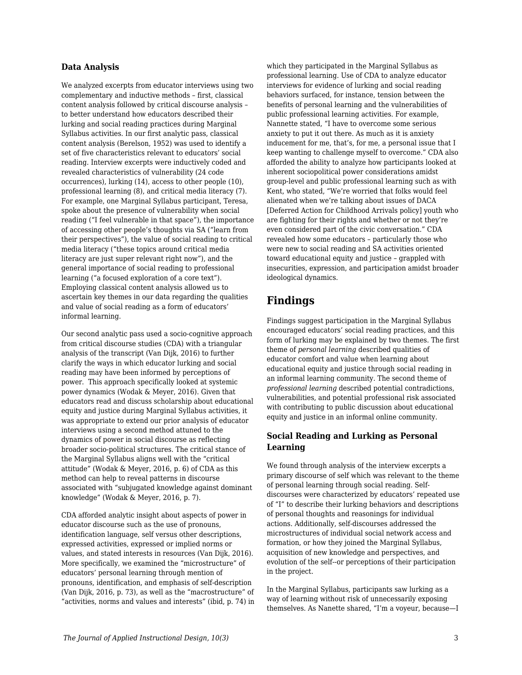#### **Data Analysis**

We analyzed excerpts from educator interviews using two complementary and inductive methods – first, classical content analysis followed by critical discourse analysis – to better understand how educators described their lurking and social reading practices during Marginal Syllabus activities. In our first analytic pass, classical content analysis (Berelson, 1952) was used to identify a set of five characteristics relevant to educators' social reading. Interview excerpts were inductively coded and revealed characteristics of vulnerability (24 code occurrences), lurking (14), access to other people (10), professional learning (8), and critical media literacy (7). For example, one Marginal Syllabus participant, Teresa, spoke about the presence of vulnerability when social reading ("I feel vulnerable in that space"), the importance of accessing other people's thoughts via SA ("learn from their perspectives"), the value of social reading to critical media literacy ("these topics around critical media literacy are just super relevant right now"), and the general importance of social reading to professional learning ("a focused exploration of a core text"). Employing classical content analysis allowed us to ascertain key themes in our data regarding the qualities and value of social reading as a form of educators' informal learning.

Our second analytic pass used a socio-cognitive approach from critical discourse studies (CDA) with a triangular analysis of the transcript (Van Dijk, 2016) to further clarify the ways in which educator lurking and social reading may have been informed by perceptions of power. This approach specifically looked at systemic power dynamics (Wodak & Meyer, 2016). Given that educators read and discuss scholarship about educational equity and justice during Marginal Syllabus activities, it was appropriate to extend our prior analysis of educator interviews using a second method attuned to the dynamics of power in social discourse as reflecting broader socio-political structures. The critical stance of the Marginal Syllabus aligns well with the "critical attitude" (Wodak & Meyer, 2016, p. 6) of CDA as this method can help to reveal patterns in discourse associated with "subjugated knowledge against dominant knowledge" (Wodak & Meyer, 2016, p. 7).

CDA afforded analytic insight about aspects of power in educator discourse such as the use of pronouns, identification language, self versus other descriptions, expressed activities, expressed or implied norms or values, and stated interests in resources (Van Dijk, 2016). More specifically, we examined the "microstructure" of educators' personal learning through mention of pronouns, identification, and emphasis of self-description (Van Dijk, 2016, p. 73), as well as the "macrostructure" of "activities, norms and values and interests" (ibid, p. 74) in which they participated in the Marginal Syllabus as professional learning. Use of CDA to analyze educator interviews for evidence of lurking and social reading behaviors surfaced, for instance, tension between the benefits of personal learning and the vulnerabilities of public professional learning activities. For example, Nannette stated, "I have to overcome some serious anxiety to put it out there. As much as it is anxiety inducement for me, that's, for me, a personal issue that I keep wanting to challenge myself to overcome." CDA also afforded the ability to analyze how participants looked at inherent sociopolitical power considerations amidst group-level and public professional learning such as with Kent, who stated, "We're worried that folks would feel alienated when we're talking about issues of DACA [Deferred Action for Childhood Arrivals policy] youth who are fighting for their rights and whether or not they're even considered part of the civic conversation." CDA revealed how some educators – particularly those who were new to social reading and SA activities oriented toward educational equity and justice – grappled with insecurities, expression, and participation amidst broader ideological dynamics.

# **Findings**

Findings suggest participation in the Marginal Syllabus encouraged educators' social reading practices, and this form of lurking may be explained by two themes. The first theme of *personal learning* described qualities of educator comfort and value when learning about educational equity and justice through social reading in an informal learning community. The second theme of *professional learning* described potential contradictions, vulnerabilities, and potential professional risk associated with contributing to public discussion about educational equity and justice in an informal online community.

### **Social Reading and Lurking as Personal Learning**

We found through analysis of the interview excerpts a primary discourse of self which was relevant to the theme of personal learning through social reading. Selfdiscourses were characterized by educators' repeated use of "I" to describe their lurking behaviors and descriptions of personal thoughts and reasonings for individual actions. Additionally, self-discourses addressed the microstructures of individual social network access and formation, or how they joined the Marginal Syllabus, acquisition of new knowledge and perspectives, and evolution of the self--or perceptions of their participation in the project.

In the Marginal Syllabus, participants saw lurking as a way of learning without risk of unnecessarily exposing themselves. As Nanette shared, "I'm a voyeur, because—I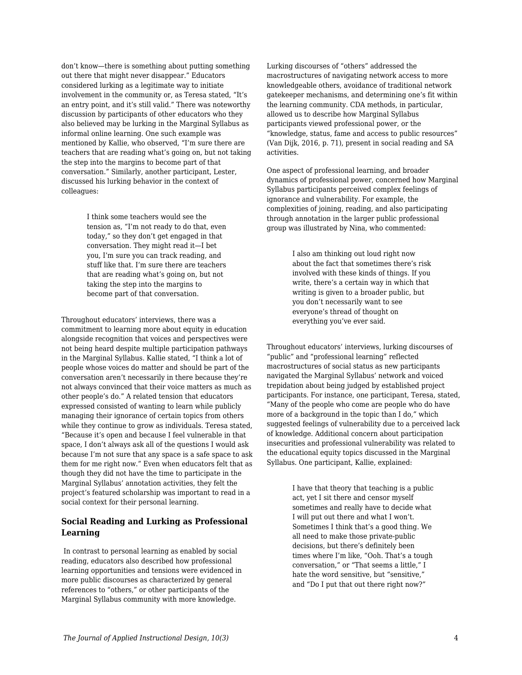don't know—there is something about putting something out there that might never disappear." Educators considered lurking as a legitimate way to initiate involvement in the community or, as Teresa stated, "It's an entry point, and it's still valid." There was noteworthy discussion by participants of other educators who they also believed may be lurking in the Marginal Syllabus as informal online learning. One such example was mentioned by Kallie, who observed, "I'm sure there are teachers that are reading what's going on, but not taking the step into the margins to become part of that conversation." Similarly, another participant, Lester, discussed his lurking behavior in the context of colleagues:

> I think some teachers would see the tension as, "I'm not ready to do that, even today," so they don't get engaged in that conversation. They might read it—I bet you, I'm sure you can track reading, and stuff like that. I'm sure there are teachers that are reading what's going on, but not taking the step into the margins to become part of that conversation.

Throughout educators' interviews, there was a commitment to learning more about equity in education alongside recognition that voices and perspectives were not being heard despite multiple participation pathways in the Marginal Syllabus. Kallie stated, "I think a lot of people whose voices do matter and should be part of the conversation aren't necessarily in there because they're not always convinced that their voice matters as much as other people's do." A related tension that educators expressed consisted of wanting to learn while publicly managing their ignorance of certain topics from others while they continue to grow as individuals. Teresa stated, "Because it's open and because I feel vulnerable in that space, I don't always ask all of the questions I would ask because I'm not sure that any space is a safe space to ask them for me right now." Even when educators felt that as though they did not have the time to participate in the Marginal Syllabus' annotation activities, they felt the project's featured scholarship was important to read in a social context for their personal learning.

### **Social Reading and Lurking as Professional Learning**

In contrast to personal learning as enabled by social reading, educators also described how professional learning opportunities and tensions were evidenced in more public discourses as characterized by general references to "others," or other participants of the Marginal Syllabus community with more knowledge.

Lurking discourses of "others" addressed the macrostructures of navigating network access to more knowledgeable others, avoidance of traditional network gatekeeper mechanisms, and determining one's fit within the learning community. CDA methods, in particular, allowed us to describe how Marginal Syllabus participants viewed professional power, or the "knowledge, status, fame and access to public resources" (Van Dijk, 2016, p. 71), present in social reading and SA activities.

One aspect of professional learning, and broader dynamics of professional power, concerned how Marginal Syllabus participants perceived complex feelings of ignorance and vulnerability. For example, the complexities of joining, reading, and also participating through annotation in the larger public professional group was illustrated by Nina, who commented:

> I also am thinking out loud right now about the fact that sometimes there's risk involved with these kinds of things. If you write, there's a certain way in which that writing is given to a broader public, but you don't necessarily want to see everyone's thread of thought on everything you've ever said.

Throughout educators' interviews, lurking discourses of "public" and "professional learning" reflected macrostructures of social status as new participants navigated the Marginal Syllabus' network and voiced trepidation about being judged by established project participants. For instance, one participant, Teresa, stated, "Many of the people who come are people who do have more of a background in the topic than I do,*"* which suggested feelings of vulnerability due to a perceived lack of knowledge. Additional concern about participation insecurities and professional vulnerability was related to the educational equity topics discussed in the Marginal Syllabus. One participant, Kallie, explained:

> I have that theory that teaching is a public act, yet I sit there and censor myself sometimes and really have to decide what I will put out there and what I won't. Sometimes I think that's a good thing. We all need to make those private-public decisions, but there's definitely been times where I'm like, "Ooh. That's a tough conversation," or "That seems a little," I hate the word sensitive, but "sensitive," and "Do I put that out there right now?"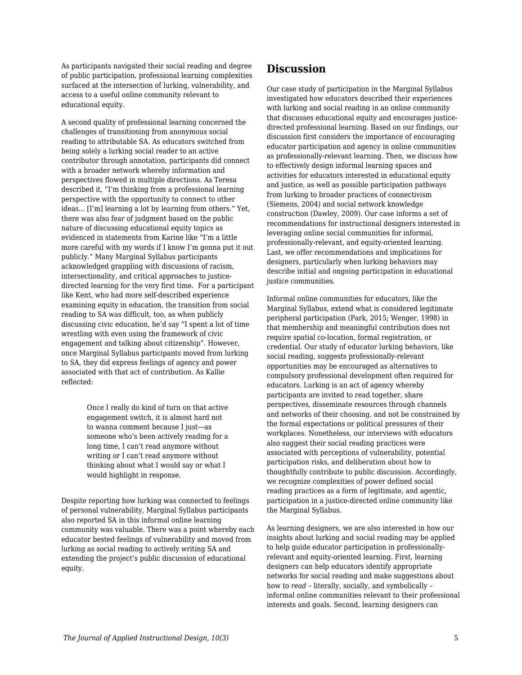As participants navigated their social reading and degree of public participation, professional learning complexities surfaced at the intersection of lurking, vulnerability, and access to a useful online community relevant to educational equity.

A second quality of professional learning concerned the challenges of transitioning from anonymous social reading to attributable SA. As educators switched from being solely a lurking social reader to an active contributor through annotation, participants did connect with a broader network whereby information and perspectives flowed in multiple directions. As Teresa described it, "I'm thinking from a professional learning perspective with the opportunity to connect to other ideas... [I'm] learning a lot by learning from others." Yet, there was also fear of judgment based on the public nature of discussing educational equity topics as evidenced in statements from Karine like "I'm a little more careful with my words if I know I'm gonna put it out publicly." Many Marginal Syllabus participants acknowledged grappling with discussions of racism, intersectionality, and critical approaches to justicedirected learning for the very first time. For a participant like Kent, who had more self-described experience examining equity in education, the transition from social reading to SA was difficult, too, as when publicly discussing civic education, he'd say "I spent a lot of time wrestling with even using the framework of civic engagement and talking about citizenship". However, once Marginal Syllabus participants moved from lurking to SA, they did express feelings of agency and power associated with that act of contribution. As Kallie reflected:

> Once I really do kind of turn on that active engagement switch, it is almost hard not to wanna comment because I just—as someone who's been actively reading for a long time, I can't read anymore without writing or I can't read anymore without thinking about what I would say or what I would highlight in response.

Despite reporting how lurking was connected to feelings of personal vulnerability, Marginal Syllabus participants also reported SA in this informal online learning community was valuable. There was a point whereby each educator bested feelings of vulnerability and moved from lurking as social reading to actively writing SA and extending the project's public discussion of educational equity.

# **Discussion**

Our case study of participation in the Marginal Syllabus investigated how educators described their experiences with lurking and social reading in an online community that discusses educational equity and encourages justicedirected professional learning. Based on our findings, our discussion first considers the importance of encouraging educator participation and agency in online communities as professionally-relevant learning. Then, we discuss how to effectively design informal learning spaces and activities for educators interested in educational equity and justice, as well as possible participation pathways from lurking to broader practices of connectivism (Siemens, 2004) and social network knowledge construction (Dawley, 2009). Our case informs a set of recommendations for instructional designers interested in leveraging online social communities for informal, professionally-relevant, and equity-oriented learning. Last, we offer recommendations and implications for designers, particularly when lurking behaviors may describe initial and ongoing participation in educational justice communities.

Informal online communities for educators, like the Marginal Syllabus, extend what is considered legitimate peripheral participation (Park, 2015; Wenger, 1998) in that membership and meaningful contribution does not require spatial co-location, formal registration, or credential. Our study of educator lurking behaviors, like social reading, suggests professionally-relevant opportunities may be encouraged as alternatives to compulsory professional development often required for educators. Lurking is an act of agency whereby participants are invited to read together, share perspectives, disseminate resources through channels and networks of their choosing, and not be constrained by the formal expectations or political pressures of their workplaces. Nonetheless, our interviews with educators also suggest their social reading practices were associated with perceptions of vulnerability, potential participation risks, and deliberation about how to thoughtfully contribute to public discussion. Accordingly, we recognize complexities of power defined social reading practices as a form of legitimate, and agentic, participation in a justice-directed online community like the Marginal Syllabus.

As learning designers, we are also interested in how our insights about lurking and social reading may be applied to help guide educator participation in professionallyrelevant and equity-oriented learning. First, learning designers can help educators identify appropriate networks for social reading and make suggestions about how to *read –* literally, socially, and symbolically – informal online communities relevant to their professional interests and goals. Second, learning designers can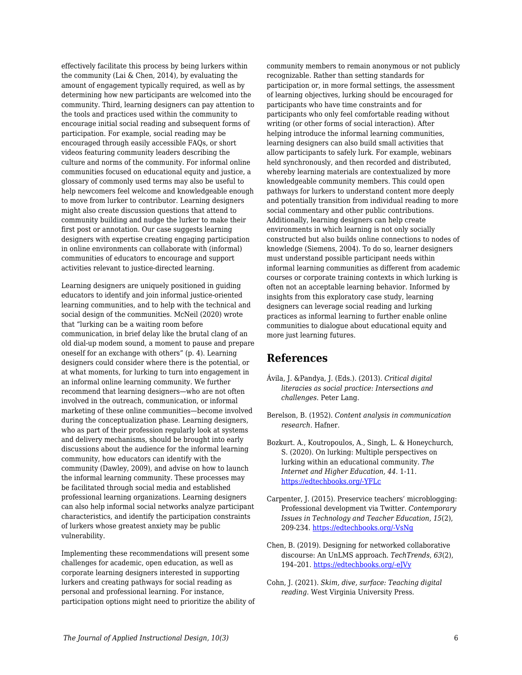effectively facilitate this process by being lurkers within the community (Lai & Chen, 2014), by evaluating the amount of engagement typically required, as well as by determining how new participants are welcomed into the community. Third, learning designers can pay attention to the tools and practices used within the community to encourage initial social reading and subsequent forms of participation. For example, social reading may be encouraged through easily accessible FAQs, or short videos featuring community leaders describing the culture and norms of the community. For informal online communities focused on educational equity and justice, a glossary of commonly used terms may also be useful to help newcomers feel welcome and knowledgeable enough to move from lurker to contributor. Learning designers might also create discussion questions that attend to community building and nudge the lurker to make their first post or annotation. Our case suggests learning designers with expertise creating engaging participation in online environments can collaborate with (informal) communities of educators to encourage and support activities relevant to justice-directed learning.

Learning designers are uniquely positioned in guiding educators to identify and join informal justice-oriented learning communities, and to help with the technical and social design of the communities. McNeil (2020) wrote that "lurking can be a waiting room before communication, in brief delay like the brutal clang of an old dial-up modem sound, a moment to pause and prepare oneself for an exchange with others" (p. 4). Learning designers could consider where there is the potential, or at what moments, for lurking to turn into engagement in an informal online learning community. We further recommend that learning designers—who are not often involved in the outreach, communication, or informal marketing of these online communities—become involved during the conceptualization phase. Learning designers, who as part of their profession regularly look at systems and delivery mechanisms, should be brought into early discussions about the audience for the informal learning community, how educators can identify with the community (Dawley, 2009), and advise on how to launch the informal learning community. These processes may be facilitated through social media and established professional learning organizations. Learning designers can also help informal social networks analyze participant characteristics, and identify the participation constraints of lurkers whose greatest anxiety may be public vulnerability.

Implementing these recommendations will present some challenges for academic, open education, as well as corporate learning designers interested in supporting lurkers and creating pathways for social reading as personal and professional learning. For instance, participation options might need to prioritize the ability of community members to remain anonymous or not publicly recognizable. Rather than setting standards for participation or, in more formal settings, the assessment of learning objectives, lurking should be encouraged for participants who have time constraints and for participants who only feel comfortable reading without writing (or other forms of social interaction). After helping introduce the informal learning communities, learning designers can also build small activities that allow participants to safely lurk. For example, webinars held synchronously, and then recorded and distributed, whereby learning materials are contextualized by more knowledgeable community members. This could open pathways for lurkers to understand content more deeply and potentially transition from individual reading to more social commentary and other public contributions. Additionally, learning designers can help create environments in which learning is not only socially constructed but also builds online connections to nodes of knowledge (Siemens, 2004). To do so, learner designers must understand possible participant needs within informal learning communities as different from academic courses or corporate training contexts in which lurking is often not an acceptable learning behavior. Informed by insights from this exploratory case study, learning designers can leverage social reading and lurking practices as informal learning to further enable online communities to dialogue about educational equity and more just learning futures.

# **References**

- Ávila, J. &Pandya, J. (Eds.). (2013). *Critical digital literacies as social practice: Intersections and challenges*. Peter Lang.
- Berelson, B. (1952). *Content analysis in communication research*. Hafner.
- Bozkurt. A., Koutropoulos, A., Singh, L. & Honeychurch, S. (2020). On lurking: Multiple perspectives on lurking within an educational community. *The Internet and Higher Education, 44.* 1-11. [https://edtechbooks.org/-YFLc](https://doi.org/10.1016/j.iheduc.2019.100709)
- Carpenter, J. (2015). Preservice teachers' microblogging: Professional development via Twitter. *Contemporary Issues in Technology and Teacher Education, 15*(2), 209-234. [https://edtechbooks.org/-VsNg](https://citejournal.org/wp-content/uploads/2016/04/v15i2general1.pdf)
- Chen, B. (2019). Designing for networked collaborative discourse: An UnLMS approach. *TechTrends*, *63*(2), 194–201. [https://edtechbooks.org/-eJVy](https://doi-org.aurarialibrary.idm.oclc.org/10.1007/s11528-018-0284-7)
- Cohn, J. (2021). *Skim, dive, surface: Teaching digital reading*. West Virginia University Press.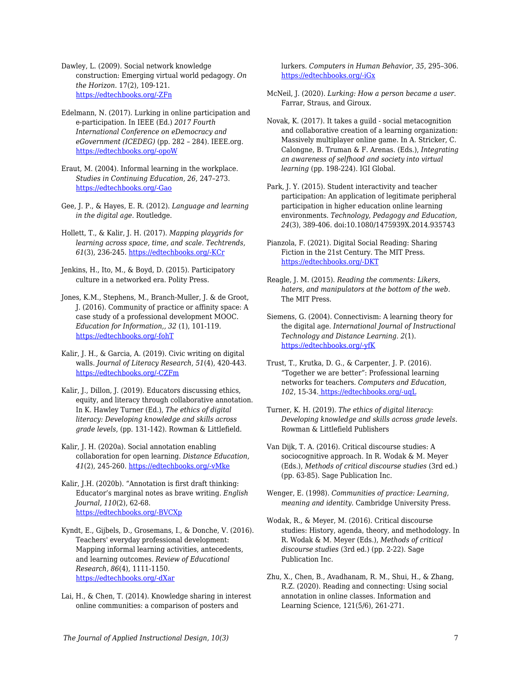Dawley, L. (2009). Social network knowledge construction: Emerging virtual world pedagogy. *On the Horizon*. 17(2), 109-121. [https://edtechbooks.org/-ZFn](https://doi.org/10.1108/10748120910965494)

Edelmann, N. (2017). Lurking in online participation and e-participation. In IEEE (Ed.) *2017 Fourth International Conference on eDemocracy and eGovernment (ICEDEG)* (pp. 282 – 284). IEEE.org. [https://edtechbooks.org/-opoW](https://doi.org/10.1109/ICEDEG.2017.7962552)

- Eraut, M. (2004). Informal learning in the workplace. *Studies in Continuing Education, 26*, 247–273. [https://edtechbooks.org/-Gao](https://doi.org/10.1080/158037042000225245)
- Gee, J. P., & Hayes, E. R. (2012). *Language and learning in the digital age*. Routledge.
- Hollett, T., & Kalir, J. H. (2017). *Mapping playgrids for learning across space, time, and scale. Techtrends, 61*(3), 236-245. [https://edtechbooks.org/-KCr](https://doi.org/10.1007/s11528-016-0138-0)
- Jenkins, H., Ito, M., & Boyd, D. (2015). Participatory culture in a networked era. Polity Press.
- Jones, K.M., Stephens, M., Branch-Muller, J. & de Groot, J. (2016). Community of practice or affinity space: A case study of a professional development MOOC. *Education for Information,, 32* (1), 101-119. [https://edtechbooks.org/-fohT](https://edtechbooks.org/about:blank)
- Kalir, J. H., & Garcia, A. (2019). Civic writing on digital walls. *Journal of Literacy Research, 51*(4), 420-443. [https://edtechbooks.org/-CZFm](https://doi.org/10.1177/1086296X19877208)
- Kalir, J., Dillon, J. (2019). Educators discussing ethics, equity, and literacy through collaborative annotation. In K. Hawley Turner (Ed.), *The ethics of digital literacy: Developing knowledge and skills across grade levels*, (pp. 131-142). Rowman & Littlefield.
- Kalir, J. H. (2020a). Social annotation enabling collaboration for open learning. *Distance Education, 41*(2), 245-260. [https://edtechbooks.org/-vMke](https://doi.org/10.1080/01587919.2020.1757413)

Kalir, J.H. (2020b). "Annotation is first draft thinking: Educator's marginal notes as brave writing. *English Journal, 110*(2), 62-68. [https://edtechbooks.org/-BVCXp](https://library-ncte-org.aurarialibrary.idm.oclc.org/journals/ej/issues/v110-2/30968)

Kyndt, E., Gijbels, D., Grosemans, I., & Donche, V. (2016). Teachers' everyday professional development: Mapping informal learning activities, antecedents, and learning outcomes. *Review of Educational Research, 86*(4), 1111-1150. [https://edtechbooks.org/-dXar](https://doi.org/10.3102/0034654315627864)

Lai, H., & Chen, T. (2014). Knowledge sharing in interest online communities: a comparison of posters and

lurkers. *Computers in Human Behavior, 35*, 295–306. [https://edtechbooks.org/-iGx](https://doi.org/10.1016/j.chb.2014.02.004)

McNeil, J. (2020). *Lurking: How a person became a user*. Farrar, Straus, and Giroux.

- Novak, K. (2017). It takes a guild social metacognition and collaborative creation of a learning organization: Massively multiplayer online game. In A. Stricker, C. Calongne, B. Truman & F. Arenas. (Eds.), *Integrating an awareness of selfhood and society into virtual learning* (pp. 198-224). IGI Global.
- Park, J. Y. (2015). Student interactivity and teacher participation: An application of legitimate peripheral participation in higher education online learning environments. *Technology, Pedagogy and Education, 24*(3), 389-406. doi:10.1080/1475939X.2014.935743

Pianzola, F. (2021). Digital Social Reading: Sharing Fiction in the 21st Century. The MIT Press. [https://edtechbooks.org/-DKT](https://wip.mitpress.mit.edu/digital-social-reading)

- Reagle, J. M. (2015). *Reading the comments: Likers, haters, and manipulators at the bottom of the web*. The MIT Press.
- Siemens, G. (2004). Connectivism: A learning theory for the digital age. *International Journal of Instructional Technology and Distance Learning. 2*(1). [https://edtechbooks.org/-yfK](http://www.itdl.org/journal/jan_05/article01.htm)
- Trust, T., Krutka, D. G., & Carpenter, J. P. (2016). "Together we are better": Professional learning networks for teachers. *Computers and Education, 102*, 15-34. [https://edtechbooks.org/-uqL](https://doi.org/10.1016/j.compedu.2016.06.007)
- Turner, K. H. (2019). *The ethics of digital literacy: Developing knowledge and skills across grade levels*. Rowman & Littlefield Publishers
- Van Dijk, T. A. (2016). Critical discourse studies: A sociocognitive approach. In R. Wodak & M. Meyer (Eds.), *Methods of critical discourse studies* (3rd ed.) (pp. 63-85). Sage Publication Inc.
- Wenger, E. (1998). *Communities of practice: Learning, meaning and identity*. Cambridge University Press.
- Wodak, R., & Meyer, M. (2016). Critical discourse studies: History, agenda, theory, and methodology. In R. Wodak & M. Meyer (Eds.), *Methods of critical discourse studies* (3rd ed.) (pp. 2-22). Sage Publication Inc.
- Zhu, X., Chen, B., Avadhanam, R. M., Shui, H., & Zhang, R.Z. (2020). Reading and connecting: Using social annotation in online classes. Information and Learning Science, 121(5/6), 261-271.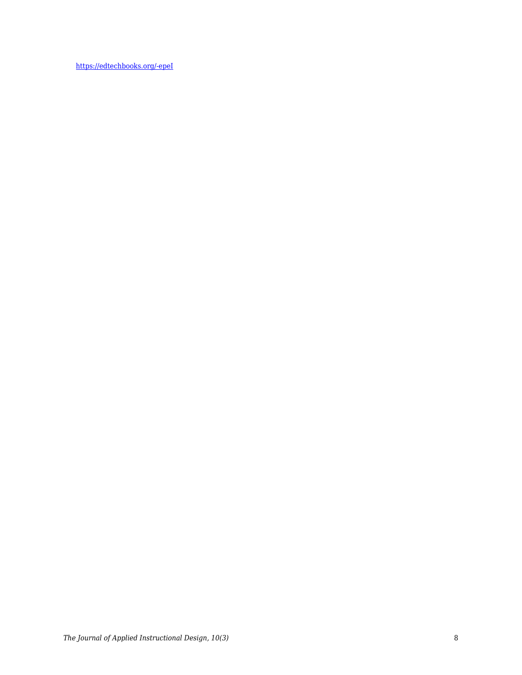[https://edtechbooks.org/-epeI](https://doi.org/10.1108/ILS-04-2020-0117)